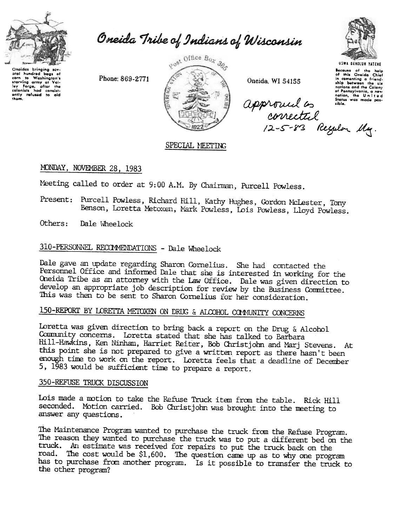

aral hundred bags of<br>corn to Washington's

corn to washington's<br>starving army at Vai-<br>ley Forge, after the<br>colonists had consist-<br>ently refused to aid<br>them.

Oneida Tribe of Indians of Wisconsin

**UGWA DENOLUN YATENE** 

Phone: 869-2771



Oneida, WI 54155

approud as states was made on

Because of the help<br>of this Oneida Chief<br>in comanting a friend-<br>ship between the six nations and the Colony nations and the Colony<br>of Pennsylvania, a new<br>nation, the United<br>States was made pos-

SPECIAL MEETING

## MONDAY, NOVEMBER 28, 1983

Meeting called to order at 9:00 A.M. By Chairman, Purcell Powless.

Purcell Powless, Richard Hill, Kathy Hughes, Gordon McLester, Tony Present: Benson, Loretta Metoxen, Mark Powless, Lois Powless, Lloyd Powless.

Others: Dale Wheelock

## 310-PERSONNEL RECOMMENDATIONS - Dale Wheelock

Dale gave an update regarding Sharon Cornelius. She had contacted the Personnel Office and informed Dale that she is interested in working for the Oneida Tribe as an attorney with the Law Office. Dale was given direction to develop an appropriate job description for review by the Business Committee. This was then to be sent to Sharon Cornelius for her consideration.

## 150-REPORT BY LORETTA METOXEN ON DRUG & ALCOHOL COMMUNITY CONCERNS

Loretta was given direction to bring back a report on the Drug & Alcohol Community concerns. Loretta stated that she has talked to Barbara Hill-Hawkins, Ken Ninham, Harriet Reiter, Bob Christjohn and Marj Stevens. At this point she is not prepared to give a written report as there hasn't been enough time to work on the report. Loretta feels that a deadline of December 5, 1983 would be sufficient time to prepare a report.

## 350-REFUSE TRUCK DISCUSSION

Lois made a motion to take the Refuse Truck item from the table. Rick Hill seconded. Motion carried. Bob Christjohn was brought into the meeting to answer any questions.

The Maintenance Program wanted to purchase the truck from the Refuse Program. The reason they wanted to purchase the truck was to put a different bed on the truck. An estimate was received for repairs to put the truck back on the road. The cost would be \$1,600. The question came up as to why one program has to purchase from another program. Is it possible to transfer the truck to the other program?